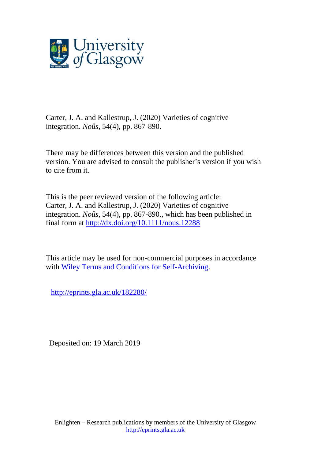

Carter, J. A. and Kallestrup, J. (2020) Varieties of cognitive integration. *Noûs*, 54(4), pp. 867-890.

There may be differences between this version and the published version. You are advised to consult the publisher's version if you wish to cite from it.

This is the peer reviewed version of the following article: Carter, J. A. and Kallestrup, J. (2020) Varieties of cognitive integration. *Noûs*, 54(4), pp. 867-890., which has been published in final form at <http://dx.doi.org/10.1111/nous.12288>

This article may be used for non-commercial purposes in accordance with Wiley Terms and Conditions for [Self-Archiving.](http://olabout.wiley.com/WileyCDA/Section/id-828039.html#terms)

<http://eprints.gla.ac.uk/182280/>

Deposited on: 19 March 2019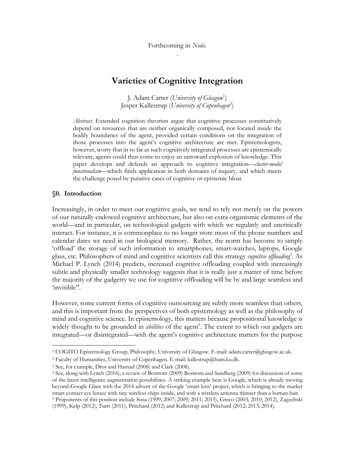# **Varieties of Cognitive Integration**

J. Adam Carter (*University of Glasgow*<sup>1</sup> ) Jesper Kallestrup (*University of Copenhagen*<sup>2</sup> )

*Abstract.* Extended cognition theorists argue that cognitive processes constitutively depend on resources that are neither organically composed, nor located inside the bodily boundaries of the agent, provided certain conditions on the integration of those processes into the agent's cognitive architecture are met. Epistemologists, however, worry that in so far as such cognitively integrated processes are epistemically relevant, agents could thus come to enjoy an untoward explosion of knowledge. This paper develops and defends an approach to cognitive integration—*cluster-model functionalism*—which finds application in both domains of inquiry, and which meets the challenge posed by putative cases of cognitive or epistemic bloat.

#### **§0. Introduction**

 $\overline{a}$ 

Increasingly, in order to meet our cognitive goals, we tend to rely not merely on the powers of our naturally endowed cognitive architecture, but also on extra-organismic elements of the world—and in particular, on technological gadgets with which we regularly and uncritically interact. For instance, it is commonplace to no longer store most of the phone numbers and calendar dates we need in our biological memory. Rather, the norm has become to simply 'offload' the storage of such information to smartphones, smart-watches, laptops, Google glass, etc. Philosophers of mind and cognitive scientists call this strategy *cognitive offloading*<sup>3</sup> *.* As Michael P. Lynch (2014) predicts, increased cognitive offloading coupled with increasingly subtle and physically smaller technology suggests that it is really just a matter of time before the majority of the gadgetry we use for cognitive offloading will be by and large seamless and 'invisible<sup>'4</sup>.

However, some current forms of cognitive outsourcing are subtly more seamless than others, and this is important from the perspectives of both epistemology as well as the philosophy of mind and cognitive science. In epistemology, this matters because propositional knowledge is widely thought to be grounded in *abilities* of the agent<sup>5</sup>. The extent to which our gadgets are integrated—or disintegrated—with the agent's cognitive architecture matters for the purpose

<sup>1</sup> COGITO Epistemology Group, Philosophy, University of Glasgow. E-mail: adam.carter@glasgow.ac.uk.

<sup>2</sup> Faculty of Humanities, University of Copenhagen. E-mail: kallestrup@hum.ku.dk.

<sup>3</sup> See, for example, Dror and Harnad (2008) and Clark (2008).

<sup>4</sup> See, along with Lynch (2016), a review of Bostrom (2009) Bostrom and Sandberg (2009) for discussion of some of the latest intelligence augmentation possibilities. A striking example here is Google, which is already moving beyond Google Glass with the 2014 advent of the Google 'smart lens' project, which is bringing to the market smart contact eye lenses with tiny wireless chips inside, and with a wireless antenna thinner than a human hair. <sup>5</sup> Proponents of this position include Sosa (1999; 2007; 2009; 2011; 2015), Greco (2003; 2010; 2012), Zagzebski (1999), Kelp (2012), Turri (2011), Pritchard (2012) and Kallestrup and Pritchard (2012; 2013; 2014).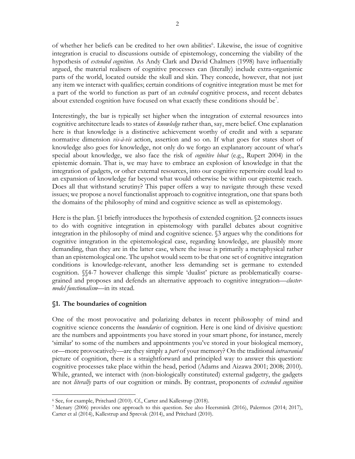of whether her beliefs can be credited to her own abilities<sup>6</sup>. Likewise, the issue of cognitive integration is crucial to discussions outside of epistemology, concerning the viability of the hypothesis of *extended cognition.* As Andy Clark and David Chalmers (1998) have influentially argued, the material realisers of cognitive processes can (literally) include extra-organismic parts of the world, located outside the skull and skin. They concede, however, that not just any item we interact with qualifies; certain conditions of cognitive integration must be met for a part of the world to function as part of an *extended* cognitive process, and recent debates about extended cognition have focused on what exactly these conditions should be<sup>7</sup>.

Interestingly, the bar is typically set higher when the integration of external resources into cognitive architecture leads to states of *knowledge* rather than, say, mere belief. One explanation here is that knowledge is a distinctive achievement worthy of credit and with a separate normative dimension *vis-à-vis* action, assertion and so on. If what goes for states short of knowledge also goes for knowledge, not only do we forgo an explanatory account of what's special about knowledge, we also face the risk of *cognitive bloat* (e.g., Rupert 2004) in the epistemic domain. That is, we may have to embrace an explosion of knowledge in that the integration of gadgets, or other external resources, into our cognitive repertoire could lead to an expansion of knowledge far beyond what would otherwise be within our epistemic reach. Does all that withstand scrutiny? This paper offers a way to navigate through these vexed issues; we propose a novel functionalist approach to cognitive integration, one that spans both the domains of the philosophy of mind and cognitive science as well as epistemology.

Here is the plan. §1 briefly introduces the hypothesis of extended cognition. §2 connects issues to do with cognitive integration in epistemology with parallel debates about cognitive integration in the philosophy of mind and cognitive science. §3 argues why the conditions for cognitive integration in the epistemological case, regarding knowledge, are plausibly more demanding, than they are in the latter case, where the issue is primarily a metaphysical rather than an epistemological one. The upshot would seem to be that one set of cognitive integration conditions is knowledge-relevant, another less demanding set is germane to extended cognition. §§4-7 however challenge this simple 'dualist' picture as problematically coarsegrained and proposes and defends an alternative approach to cognitive integration—*clustermodel functionalism*—in its stead.

## **§1. The boundaries of cognition**

 $\overline{a}$ 

One of the most provocative and polarizing debates in recent philosophy of mind and cognitive science concerns the *boundaries* of cognition. Here is one kind of divisive question: are the numbers and appointments you have stored in your smart phone, for instance, merely 'similar' to some of the numbers and appointments you've stored in your biological memory, or—more provocatively—are they simply a *part* of your memory? On the traditional *intracranial* picture of cognition, there is a straightforward and principled way to answer this question: cognitive processes take place within the head, period (Adams and Aizawa 2001; 2008; 2010). While, granted, we interact with (non-biologically constituted) external gadgetry, the gadgets are not *literally* parts of our cognition or minds. By contrast, proponents of *extended cognition*

<sup>6</sup> See, for example, Pritchard (2010). Cf., Carter and Kallestrup (2018).

<sup>7</sup> Menary (2006) provides one approach to this question. See also Heersmink (2016), Palermos (2014; 2017), Carter et al (2014), Kallestrup and Sprevak (2014), and Pritchard (2010).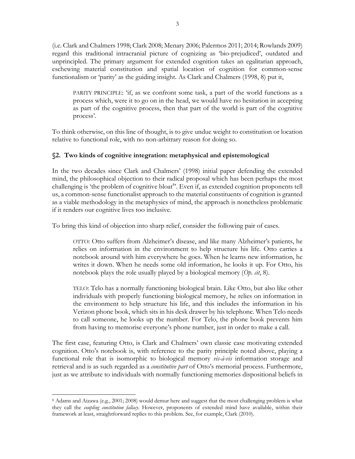(i.e. Clark and Chalmers 1998; Clark 2008; Menary 2006; Palermos 2011; 2014; Rowlands 2009) regard this traditional intracranial picture of cognizing as 'bio-prejudiced', outdated and unprincipled. The primary argument for extended cognition takes an egalitarian approach, eschewing material constitution and spatial location of cognition for common-sense functionalism or 'parity' as the guiding insight. As Clark and Chalmers (1998, 8) put it,

PARITY PRINCIPLE: 'if, as we confront some task, a part of the world functions as a process which, were it to go on in the head, we would have no hesitation in accepting as part of the cognitive process, then that part of the world is part of the cognitive process'.

To think otherwise, on this line of thought, is to give undue weight to constitution or location relative to functional role, with no non-arbitrary reason for doing so.

## **§2. Two kinds of cognitive integration: metaphysical and epistemological**

In the two decades since Clark and Chalmers' (1998) initial paper defending the extended mind, the philosophical objection to their radical proposal which has been perhaps the most challenging is 'the problem of cognitive bloat<sup>8</sup>'. Even if, as extended cognition proponents tell us, a common-sense functionalist approach to the material constituents of cognition is granted as a viable methodology in the metaphysics of mind, the approach is nonetheless problematic if it renders our cognitive lives too inclusive.

To bring this kind of objection into sharp relief, consider the following pair of cases.

OTTO: Otto suffers from Alzheimer's disease, and like many Alzheimer's patients, he relies on information in the environment to help structure his life. Otto carries a notebook around with him everywhere he goes. When he learns new information, he writes it down. When he needs some old information, he looks it up. For Otto, his notebook plays the role usually played by a biological memory (*Op. cit*, 8).

TELO: Telo has a normally functioning biological brain. Like Otto, but also like other individuals with properly functioning biological memory, he relies on information in the environment to help structure his life, and this includes the information in his Verizon phone book, which sits in his desk drawer by his telephone. When Telo needs to call someone, he looks up the number. For Telo, the phone book prevents him from having to memorise everyone's phone number, just in order to make a call.

The first case, featuring Otto, is Clark and Chalmers' own classic case motivating extended cognition. Otto's notebook is, with reference to the parity principle noted above, playing a functional role that is isomorphic to biological memory *vis-à-vis* information storage and retrieval and is as such regarded as a *constitutive part* of Otto's memorial process. Furthermore, just as we attribute to individuals with normally functioning memories dispositional beliefs in

 $\overline{a}$ <sup>8</sup> Adams and Aizawa (e.g., 2001; 2008) would demur here and suggest that the most challenging problem is what they call the *coupling constitution fallacy*. However, proponents of extended mind have available, within their framework at least, straightforward replies to this problem. See, for example, Clark (2010).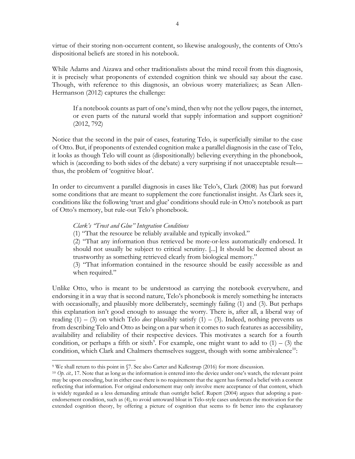virtue of their storing non-occurrent content, so likewise analogously, the contents of Otto's dispositional beliefs are stored in his notebook.

While Adams and Aizawa and other traditionalists about the mind recoil from this diagnosis, it is precisely what proponents of extended cognition think we should say about the case. Though, with reference to this diagnosis, an obvious worry materializes; as Sean Allen-Hermanson (2012) captures the challenge:

If a notebook counts as part of one's mind, then why not the yellow pages, the internet, or even parts of the natural world that supply information and support cognition? (2012, 792)

Notice that the second in the pair of cases, featuring Telo, is superficially similar to the case of Otto. But, if proponents of extended cognition make a parallel diagnosis in the case of Telo, it looks as though Telo will count as (dispositionally) believing everything in the phonebook, which is (according to both sides of the debate) a very surprising if not unacceptable result thus, the problem of 'cognitive bloat'.

In order to circumvent a parallel diagnosis in cases like Telo's, Clark (2008) has put forward some conditions that are meant to supplement the core functionalist insight. As Clark sees it, conditions like the following 'trust and glue' conditions should rule-in Otto's notebook as part of Otto's memory, but rule-out Telo's phonebook.

#### *Clark's "Trust and Glue" Integration Conditions*

 $\overline{a}$ 

(1) "That the resource be reliably available and typically invoked."

(2) "That any information thus retrieved be more-or-less automatically endorsed. It should not usually be subject to critical scrutiny. [...] It should be deemed about as trustworthy as something retrieved clearly from biological memory."

(3) "That information contained in the resource should be easily accessible as and when required."

Unlike Otto, who is meant to be understood as carrying the notebook everywhere, and endorsing it in a way that is second nature, Telo's phonebook is merely something he interacts with occasionally, and plausibly more deliberately, seemingly failing (1) and (3). But perhaps this explanation isn't good enough to assuage the worry. There is, after all, a liberal way of reading  $(1) - (3)$  on which Telo *does* plausibly satisfy  $(1) - (3)$ . Indeed, nothing prevents us from describing Telo and Otto as being on a par when it comes to such features as accessibility, availability and reliability of their respective devices. This motivates a search for a fourth condition, or perhaps a fifth or sixth<sup>9</sup>. For example, one might want to add to  $(1) - (3)$  the condition, which Clark and Chalmers themselves suggest, though with some ambivalence<sup>10</sup>:

<sup>9</sup> We shall return to this point in §7. See also Carter and Kallestrup (2016) for more discussion.

<sup>10</sup> *Op. cit.,* 17. Note that as long as the information is entered into the device under one's watch, the relevant point may be upon encoding, but in either case there is no requirement that the agent has formed a belief with a content reflecting that information. For original endorsement may only involve mere acceptance of that content, which is widely regarded as a less demanding attitude than outright belief. Rupert (2004) argues that adopting a pastendorsement condition, such as (4), to avoid untoward bloat in Telo-style cases undercuts the motivation for the extended cognition theory, by offering a picture of cognition that seems to fit better into the explanatory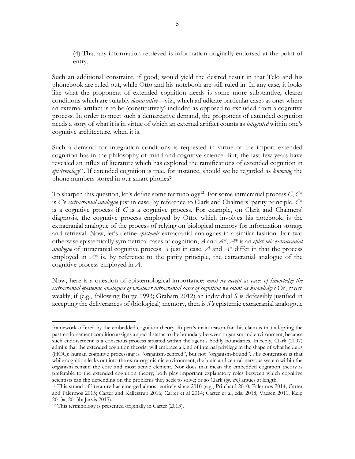(4) That any information retrieved is information originally endorsed at the point of entry.

Such an additional constraint, if good, would yield the desired result in that Telo and his phonebook are ruled out, while Otto and his notebook are still ruled in. In any case, it looks like what the proponent of extended cognition needs is some more substantive, clearer conditions which are suitably *demarcative*—viz., which adjudicate particular cases as ones where an external artifact is to be (constitutively) included as opposed to excluded from a cognitive process. In order to meet such a demarcative demand, the proponent of extended cognition needs a story of what it is in virtue of which an external artifact counts as *integrated* within one's cognitive architecture, when it is.

Such a demand for integration conditions is requested in virtue of the import extended cognition has in the philosophy of mind and cognitive science. But, the last few years have revealed an influx of literature which has explored the ramifications of extended cognition in *epistemology11*. If extended cognition is true, for instance, should we be regarded as *knowing* the phone numbers stored in our smart phones?

To sharpen this question, let's define some terminology<sup>12</sup>. For some intracranial process  $C, C^*$ is *C*'s *extracranial analogue* just in case, by reference to Clark and Chalmers' parity principle, *C*\* is a cognitive process if *C* is a cognitive process. For example, on Clark and Chalmers' diagnosis, the cognitive process employed by Otto, which involves his notebook, is the extracranial analogue of the process of relying on biological memory for information storage and retrieval. Now, let's define *epistemic* extracranial analogues in a similar fashion. For two otherwise epistemically symmetrical cases of cognition, *A* and *A*\*, *A*\* is an *epistemic extracranial analogue* of intracranial cognitive process *A* just in case, *A* and  $A^*$  differ in that the process employed in *A*\* is, by reference to the parity principle, the extracranial analogue of the cognitive process employed in *A*.

Now, here is a question of epistemological importance: *must we accept as cases of knowledge the extracranial epistemic analogues of whatever intracranial cases of cognition we count as knowledge?* Or, more weakly, if (e.g., following Burge 1993; Graham 2012) an individual *S* is defeasibly justified in accepting the deliverances of (biological) memory, then is *S's* epistemic extracranial analogoue

framework offered by the embedded cognition theory. Rupert's main reason for this claim is that adopting the past-endorsement condition assigns a special status to the boundary between organism and environment, because such endorsement is a conscious process situated within the agent's bodily boundaries. In reply, Clark (2007) admits that the extended cognition theorist will embrace a kind of internal privilege in the shape of what he dubs (HOC): human cognitive processing is "organism-centred", but not "organism-bound". His contention is that while cognition leaks out into the extra-organismic environment, the brain and central-nervous system within the organism remain the core and most active element. Nor does that mean the embedded cognition theory is preferable to the extended cognition theory; both play important explanatory roles between which cognitive scientists can flip depending on the problems they seek to solve; or so Clark (*op. cit.)* argues at length.

<sup>11</sup> This strand of literature has emerged almost entirely since 2010 (e.g., Pritchard 2010; Palermos 2014; Carter and Palermos 2015; Carter and Kallestrup 2016; Carter et al 2014; Carter et al, eds. 2018; Vaesen 2011; Kelp 2013a, 2013b; Jarvis 2015).

<sup>12</sup> This terminology is presented originally in Carter (2013).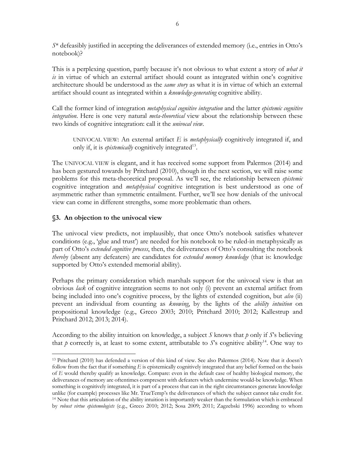*S*\* defeasibly justified in accepting the deliverances of extended memory (i.e., entries in Otto's notebook)?

This is a perplexing question, partly because it's not obvious to what extent a story of *what it is* in virtue of which an external artifact should count as integrated within one's cognitive architecture should be understood as the *same story* as what it is in virtue of which an external artifact should count as integrated within a *knowledge-generating* cognitive ability.

Call the former kind of integration *metaphysical cognitive integration* and the latter *epistemic cognitive integration*. Here is one very natural *meta-theoretical* view about the relationship between these two kinds of cognitive integration: call it the *univocal view.*

UNIVOCAL VIEW: An external artifact *E* is *metaphysically* cognitively integrated if, and only if, it is *epistemically* cognitively integrated<sup>13</sup>.

The UNIVOCAL VIEW is elegant, and it has received some support from Palermos (2014) and has been gestured towards by Pritchard (2010), though in the next section, we will raise some problems for this meta-theoretical proposal. As we'll see, the relationship between *epistemic* cognitive integration and *metaphysical* cognitive integration is best understood as one of asymmetric rather than symmetric entailment. Further, we'll see how denials of the univocal view can come in different strengths, some more problematic than others.

### **§3. An objection to the univocal view**

The univocal view predicts, not implausibly, that once Otto's notebook satisfies whatever conditions (e.g., 'glue and trust') are needed for his notebook to be ruled-in metaphysically as part of Otto's *extended cognitive process*, then, the deliverances of Otto's consulting the notebook *thereby* (absent any defeaters) are candidates for *extended memory knowledge* (that is: knowledge supported by Otto's extended memorial ability).

Perhaps the primary consideration which marshals support for the univocal view is that an obvious *lack* of cognitive integration seems to not only (i) prevent an external artifact from being included into one's cognitive process, by the lights of extended cognition, but *also* (ii) prevent an individual from counting as *knowing*, by the lights of the *ability intuition* on propositional knowledge (e.g., Greco 2003; 2010; Pritchard 2010; 2012; Kallestrup and Pritchard 2012; 2013; 2014).

According to the ability intuition on knowledge, a subject *S* knows that *p* only if *S*'s believing that *p* correctly is, at least to some extent, attributable to *S*'s cognitive ability<sup>14</sup>. One way to

 $\overline{a}$ <sup>13</sup> Pritchard (2010) has defended a version of this kind of view. See also Palermos (2014). Note that it doesn't follow from the fact that if something *E* is epistemically cognitively integrated that any belief formed on the basis of *E* would thereby qualify as knowledge. Compare: even in the default case of healthy biological memory, the deliverances of memory are oftentimes compresent with defeaters which undermine would-be knowledge. When something is cognitively integrated, it is part of a process that can in the right circumstances generate knowledge unlike (for example) processes like Mr. TrueTemp's the deliverances of which the subject cannot take credit for. <sup>14</sup> Note that this articulation of the ability intuition is importantly weaker than the formulation which is embraced by *robust virtue epistemologists* (e.g., Greco 2010; 2012; Sosa 2009; 2011; Zagzebski 1996) according to whom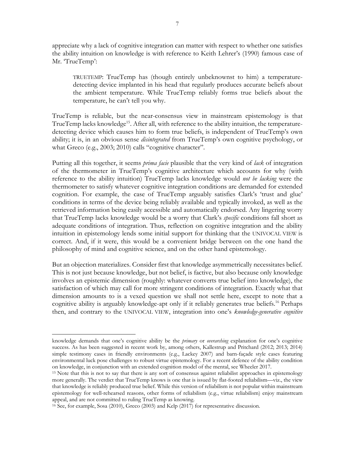appreciate why a lack of cognitive integration can matter with respect to whether one satisfies the ability intuition on knowledge is with reference to Keith Lehrer's (1990) famous case of Mr. 'TrueTemp':

TRUETEMP: TrueTemp has (though entirely unbeknownst to him) a temperaturedetecting device implanted in his head that regularly produces accurate beliefs about the ambient temperature. While TrueTemp reliably forms true beliefs about the temperature, he can't tell you why.

TrueTemp is reliable, but the near-consensus view in mainstream epistemology is that TrueTemp lacks knowledge<sup>15</sup>. After all, with reference to the ability intuition, the temperaturedetecting device which causes him to form true beliefs, is independent of TrueTemp's own ability; it is, in an obvious sense *disintegrated* from TrueTemp's own cognitive psychology, or what Greco (e.g., 2003; 2010) calls "cognitive character".

Putting all this together, it seems *prima facie* plausible that the very kind of *lack* of integration of the thermometer in TrueTemp's cognitive architecture which accounts for why (with reference to the ability intuition) TrueTemp lacks knowledge would *not be lacking* were the thermometer to satisfy whatever cognitive integration conditions are demanded for extended cognition. For example, the case of TrueTemp arguably satisfies Clark's 'trust and glue' conditions in terms of the device being reliably available and typically invoked, as well as the retrieved information being easily accessible and automatically endorsed. Any lingering worry that TrueTemp lacks knowledge would be a worry that Clark's *specific* conditions fall short as adequate conditions of integration. Thus, reflection on cognitive integration and the ability intuition in epistemology lends some initial support for thinking that the UNIVOCAL VIEW is correct. And, if it were, this would be a convenient bridge between on the one hand the philosophy of mind and cognitive science, and on the other hand epistemology.

But an objection materializes. Consider first that knowledge asymmetrically necessitates belief. This is not just because knowledge, but not belief, is factive, but also because only knowledge involves an epistemic dimension (roughly: whatever converts true belief into knowledge), the satisfaction of which may call for more stringent conditions of integration. Exactly what that dimension amounts to is a vexed question we shall not settle here, except to note that a cognitive ability is arguably knowledge-apt only if it reliably generates true beliefs.<sup>16</sup> Perhaps then, and contrary to the UNIVOCAL VIEW, integration into one's *knowledge-generative cognitive*

knowledge demands that one's cognitive ability be the *primary* or *overarching* explanation for one's cognitive success. As has been suggested in recent work by, among others, Kallestrup and Pritchard (2012; 2013; 2014) simple testimony cases in friendly environments (e.g., Lackey 2007) and barn-façade style cases featuring environmental luck pose challenges to robust virtue epistemology. For a recent defence of the ability condition on knowledge, in conjunction with an extended cognition model of the mental, see Wheeler 2017.

<sup>15</sup> Note that this is not to say that there is any sort of consensus against reliabilist approaches in epistemology more generally. The verdict that TrueTemp knows is one that is issued by flat-footed reliabilism—viz., the view that knowledge is reliably produced true belief. While this version of reliabilism is not popular within mainstream epistemology for well-rehearsed reasons, other forms of reliabilism (e.g., virtue reliabilism) enjoy mainstream appeal, and are not committed to ruling TrueTemp as knowing.

<sup>16</sup> See, for example, Sosa (2010), Greco (2003) and Kelp (2017) for representative discussion.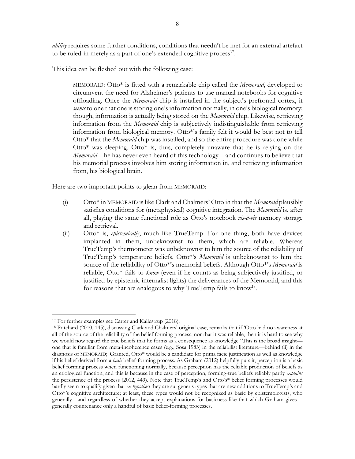*ability* requires some further conditions, conditions that needn't be met for an external artefact to be ruled-in merely as a part of one's extended cognitive process<sup>17</sup>.

This idea can be fleshed out with the following case:

MEMORAID: Otto\* is fitted with a remarkable chip called the *Memoraid*, developed to circumvent the need for Alzheimer's patients to use manual notebooks for cognitive offloading. Once the *Memoraid* chip is installed in the subject's prefrontal cortex, it *seems* to one that one is storing one's information normally, in one's biological memory; though, information is actually being stored on the *Memoraid* chip. Likewise, retrieving information from the *Memoraid* chip is subjectively indistinguishable from retrieving information from biological memory. Otto\*'s family felt it would be best not to tell Otto\* that the *Memoraid* chip was installed, and so the entire procedure was done while Otto\* was sleeping. Otto\* is, thus, completely unaware that he is relying on the *Memoraid*—he has never even heard of this technology—and continues to believe that his memorial process involves him storing information in, and retrieving information from, his biological brain.

Here are two important points to glean from MEMORAID:

- (i) Otto\* in MEMORAID is like Clark and Chalmers' Otto in that the *Memoraid* plausibly satisfies conditions for (metaphysical) cognitive integration. The *Memoraid* is, after all, playing the same functional role as Otto's notebook *vis-à-vis* memory storage and retrieval.
- (ii) Otto\* is, *epistemically*, much like TrueTemp. For one thing, both have devices implanted in them, unbeknownst to them, which are reliable. Whereas TrueTemp's thermometer was unbeknownst to him the source of the reliability of TrueTemp's temperature beliefs, Otto\*'s *Memoraid* is unbeknownst to him the source of the reliability of Otto\*'s memorial beliefs. Although Otto\*'s *Memoraid* is reliable, Otto\* fails to *know* (even if he counts as being subjectively justified, or justified by epistemic internalist lights) the deliverances of the Memoraid, and this for reasons that are analogous to why TrueTemp fails to know<sup>18</sup>.

 $\overline{a}$ <sup>17</sup> For further examples see Carter and Kallestrup (2018).

<sup>18</sup> Pritchard (2010, 145), discussing Clark and Chalmers' original case, remarks that if 'Otto had no awareness at all of the source of the reliability of the belief forming process, nor that it was reliable, then it is hard to see why we would now regard the true beliefs that he forms as a consequence as knowledge.' This is the broad insight one that is familiar from meta-incoherence cases (e.g., Sosa 1983) in the reliabilist literature—behind (ii) in the diagnosis of MEMORAID; Granted, Otto\* would be a candidate for prima facie justification as well as knowledge if his belief derived from a *basic* belief-forming process. As Graham (2012) helpfully puts it, perception is a basic belief forming process when functioning normally, because perception has the reliable production of beliefs as an etiological function, and this is because in the case of perception, forming-true beliefs reliably partly *explains* the persistence of the process (2012, 449). Note that TrueTemp's and Otto's\* belief forming processes would hardly seem to qualify given that *ex hypothesi* they are sui generis types that are new additions to TrueTemp's and Otto\*'s cognitive architecture; at least, these types would not be recognized as basic by epistemologists, who generally—and regardless of whether they accept explanations for basicness like that which Graham gives generally countenance only a handful of basic belief-forming processes.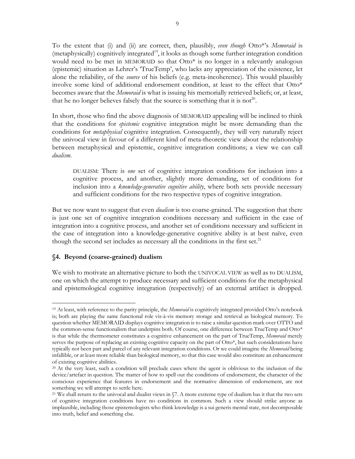To the extent that (i) and (ii) are correct, then, plausibly, *even though* Otto\*'s *Memoraid* is  $($ metaphysically $)$  cognitively integrated<sup>19</sup>, it looks as though some further integration condition would need to be met in MEMORAID so that Otto\* is no longer in a relevantly analogous (epistemic) situation as Lehrer's 'TrueTemp', who lacks any appreciation of the existence, let alone the reliability, of the *source* of his beliefs (e.g. meta-incoherence). This would plausibly involve some kind of additional endorsement condition, at least to the effect that Otto\* becomes aware that the *Memoraid* is what is issuing his memorially retrieved beliefs; or, at least, that he no longer believes falsely that the source is something that it is not<sup>20</sup>.

In short, those who find the above diagnosis of MEMORAID appealing will be inclined to think that the conditions for *epistemic* cognitive integration might be more demanding than the conditions for *metaphysical* cognitive integration. Consequently, they will very naturally reject the univocal view in favour of a different kind of meta-theoretic view about the relationship between metaphysical and epistemic, cognitive integration conditions; a view we can call *dualism*.

DUALISM: There is *one* set of cognitive integration conditions for inclusion into a cognitive process, and another, slightly more demanding, set of conditions for inclusion into a *knowledge-generative cognitive ability*, where both sets provide necessary and sufficient conditions for the two respective types of cognitive integration.

But we now want to suggest that even *dualism* is too coarse-grained. The suggestion that there is just one set of cognitive integration conditions necessary and sufficient in the case of integration into a cognitive process, and another set of conditions necessary and sufficient in the case of integration into a knowledge-generative cognitive ability is at best naïve, even though the second set includes as necessary all the conditions in the first set.<sup>21</sup>

### **§4. Beyond (coarse-grained) dualism**

 $\overline{a}$ 

We wish to motivate an alternative picture to both the UNIVOCAL VIEW as well as to DUALISM, one on which the attempt to produce necessary and sufficient conditions for the metaphysical and epistemological cognitive integration (respectively) of an external artifact is dropped.

<sup>19</sup> At least, with reference to the parity principle, the *Memoraid* is cognitively integrated provided Otto's notebook is; both are playing the same functional role vis-à-vis memory storage and retrieval as biological memory. To question whether MEMORAID displays cognitive integration is to raise a similar question mark over OTTO and the common-sense functionalism that underpins both. Of course, one difference between TrueTemp and Otto\* is that while the thermometer constitutes a cognitive enhancement on the part of TrueTemp, *Memoraid* merely serves the purpose of replacing an existing cognitive capacity on the part of Otto\*, but such considerations have typically not been part and parcel of any relevant integration conditions. Or we could imagine the *Memoraid* being infallible, or at least more reliable than biological memory, so that this case would also constitute an enhancement of existing cognitive abilities.

<sup>20</sup> At the very least, such a condition will preclude cases where the agent is oblivious to the inclusion of the device/artefact in question. The matter of how to spell out the conditions of endorsement, the character of the conscious experience that features in endorsement and the normative dimension of endorsement, are not something we will attempt to settle here.

<sup>&</sup>lt;sup>21</sup> We shall return to the univocal and dualist views in  $\sqrt{7}$ . A more extreme type of dualism has it that the two sets of cognitive integration conditions have no conditions in common. Such a view should strike anyone as implausible, including those epistemologists who think knowledge is a sui generis mental state, not decomposable into truth, belief and something else.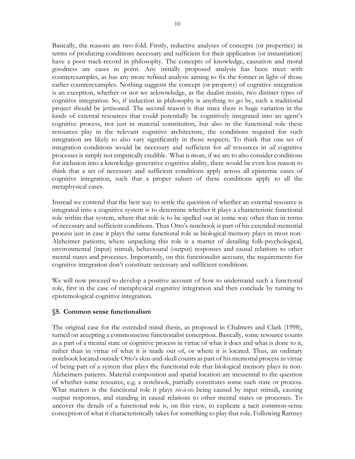Basically, the reasons are two-fold. Firstly, reductive analyses of concepts (or properties) in terms of producing conditions necessary and sufficient for their application (or instantiation) have a poor track-record in philosophy. The concepts of knowledge, causation and moral goodness are cases in point. Any initially proposed analysis has been meet with counterexamples, as has any more refined analysis aiming to fix the former in light of those earlier counterexamples. Nothing suggests the concept (or property) of cognitive integration is an exception, whether or not we acknowledge, as the dualist insists, two distinct types of cognitive integration. So, if induction in philosophy is anything to go by, such a traditional project should be jettisoned. The second reason is that since there is huge variation in the kinds of external resources that could potentially be cognitively integrated into an agent's cognitive process, not just in material constitution, but also in the functional role these resources play in the relevant cognitive architecture, the conditions required for such integration are likely to also vary significantly in those respects. To think that one set of integration conditions would be necessary and sufficient for *all* resources in *all* cognitive processes is simply not empirically credible. What is more, if we are to also consider conditions for inclusion into a knowledge-generative cognitive ability, there would be even less reason to think that a set of necessary and sufficient conditions apply across all epistemic cases of cognitive integration, such that a proper subset of these conditions apply to all the metaphysical cases.

Instead we contend that the best way to settle the question of whether an external resource is integrated into a cognitive system is to determine whether it plays a characteristic functional role within that system, where that role is to be spelled out in some way other than in terms of necessary and sufficient conditions. Thus Otto's notebook is part of his extended memorial process just in case it plays the same functional role as biological memory plays in most non-Alzheimer patients; where unpacking this role is a matter of detailing folk-psychological, environmental (input) stimuli, behavioural (output) responses and causal relations to other mental states and processes. Importantly, on this functionalist account, the requirements for cognitive integration don't constitute necessary and sufficient conditions.

We will now proceed to develop a positive account of how to understand such a functional role, first in the case of metaphysical cognitive integration and then conclude by turning to epistemological cognitive integration.

## **§5. Common sense functionalism**

The original case for the extended mind thesis, as proposed in Chalmers and Clark (1998), turned on accepting a commonsense functionalist conception. Basically, some resource counts as a part of a mental state or cognitive process in virtue of what it does and what is done to it, rather than in virtue of what it is made out of, or where it is located. Thus, an ordinary notebook located outside Otto's skin-and-skull counts as part of his memorial process in virtue of being part of a system that plays the functional role that biological memory plays in non-Alzheimers patients. Material composition and spatial location are inessential to the question of whether some resource, e.g. a notebook, partially constitutes some such state or process. What matters is the functional role it plays *vis-à-vis* being caused by input stimuli, causing output responses, and standing in causal relations to other mental states or processes. To uncover the details of a functional role is, on this view, to explicate a tacit common-sense conception of what it characteristically takes for something to play that role. Following Ramsey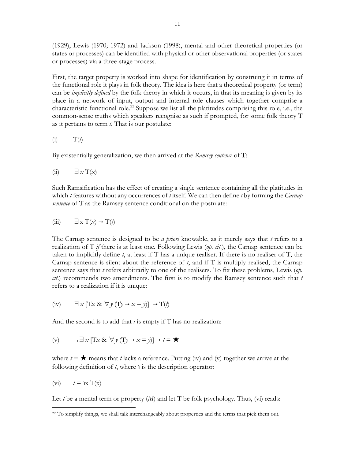(1929), Lewis (1970; 1972) and Jackson (1998), mental and other theoretical properties (or states or processes) can be identified with physical or other observational properties (or states or processes) via a three-stage process.

First, the target property is worked into shape for identification by construing it in terms of the functional role it plays in folk theory. The idea is here that a theoretical property (or term) can be *implicitly defined* by the folk theory in which it occurs, in that its meaning is given by its place in a network of input, output and internal role clauses which together comprise a characteristic functional role.<sup>22</sup> Suppose we list all the platitudes comprising this role, i.e., the common-sense truths which speakers recognise as such if prompted, for some folk theory T as it pertains to term *t*. That is our postulate:

$$
(i) \tT(t)
$$

By existentially generalization, we then arrived at the *Ramsey sentence* of T:

(ii) 
$$
\exists x \, T(x)
$$

Such Ramsification has the effect of creating a single sentence containing all the platitudes in which *t* features without any occurrences of *t* itself. We can then define *t* by forming the *Carnap sentence* of T as the Ramsey sentence conditional on the postulate:

$$
(iii) \t\exists x T(x) \to T(t)
$$

The Carnap sentence is designed to be *a priori* knowable, as it merely says that *t* refers to a realization of T *if* there is at least one. Following Lewis (*op. cit.*)*,* the Carnap sentence can be taken to implicitly define *t*, at least if T has a unique realiser. If there is no realiser of T, the Carnap sentence is silent about the reference of *t*, and if T is multiply realised, the Carnap sentence says that *t* refers arbitrarily to one of the realisers. To fix these problems, Lewis (*op. cit*.) recommends two amendments. The first is to modify the Ramsey sentence such that *t* refers to a realization if it is unique:

(iv) 
$$
\exists x [Tx \& \forall y (Ty \rightarrow x = y)] \rightarrow T(t)
$$

And the second is to add that *t* is empty if T has no realization:

(v) 
$$
\neg \exists x [Tx \& \forall y (Ty \rightarrow x = y)] \rightarrow t = \bigstar
$$

where  $t = \star$  means that *t* lacks a reference. Putting (iv) and (v) together we arrive at the following definition of  $t$ , where  $\iota$  is the description operator:

$$
(vi) \t t = \mathbf{1}x T(x)
$$

 $\overline{a}$ 

Let *t* be a mental term or property  $(M)$  and let T be folk psychology. Thus,  $(vi)$  reads:

<sup>&</sup>lt;sup>22</sup> To simplify things, we shall talk interchangeably about properties and the terms that pick them out.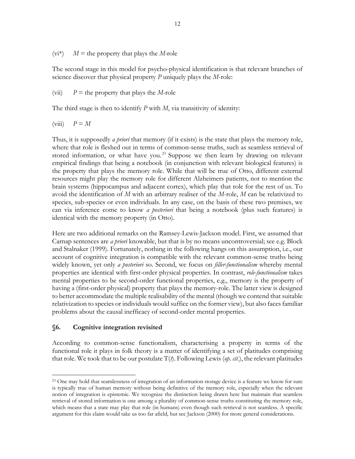$(vi^*)$  *M* = the property that plays the *M*-role

The second stage in this model for psycho-physical identification is that relevant branches of science discover that physical property *P* uniquely plays the *M*-role:

(vii)  $P =$  the property that plays the *M*-role

The third stage is then to identify *P* with *M*, via transitivity of identity:

 $(viii)$   $P = M$ 

Thus, it is supposedly *a priori* that memory (if it exists) is the state that plays the memory role, where that role is fleshed out in terms of common-sense truths, such as seamless retrieval of stored information, or what have you.<sup>23</sup> Suppose we then learn by drawing on relevant empirical findings that being a notebook (in conjunction with relevant biological features) is the property that plays the memory role. While that will be true of Otto, different external resources might play the memory role for different Alzheimers patients, not to mention the brain systems (hippocampus and adjacent cortex), which play that role for the rest of us. To avoid the identification of *M* with an arbitrary realiser of the *M*-role, *M* can be relativized to species, sub-species or even individuals. In any case, on the basis of these two premises, we can via inference come to know *a posteriori* that being a notebook (plus such features) is identical with the memory property (in Otto).

Here are two additional remarks on the Ramsey-Lewis-Jackson model. First, we assumed that Carnap sentences are *a priori* knowable, but that is by no means uncontroversial; see e.g. Block and Stalnaker (1999). Fortunately, nothing in the following hangs on this assumption, i.e., our account of cognitive integration is compatible with the relevant common-sense truths being widely known, yet only *a posteriori* so. Second, we focus on *filler-functionalism* whereby mental properties are identical with first-order physical properties. In contrast, *role-functionalism* takes mental properties to be second-order functional properties, e.g., memory is the property of having a (first-order physical) property that plays the memory-role. The latter view is designed to better accommodate the multiple realisability of the mental (though we contend that suitable relativization to species or individuals would suffice on the former view), but also faces familiar problems about the causal inefficacy of second-order mental properties.

### **§6. Cognitive integration revisited**

 $\overline{a}$ 

According to common-sense functionalism, characterising a property in terms of the functional role it plays in folk theory is a matter of identifying a set of platitudes comprising that role. We took that to be our postulate T(*t*). Following Lewis (*op. cit*.), the relevant platitudes

<sup>&</sup>lt;sup>23</sup> One may hold that seamlessness of integration of an information storage device is a feature we know for sure is typically true of human memory without being definitive of the memory role, especially when the relevant notion of integration is epistemic. We recognize the distinction being drawn here but maintain that seamless retrieval of stored information is one among a plurality of common-sense truths constituting the memory role, which means that a state may play that role (in humans) even though such retrieval is not seamless. A specific argument for this claim would take us too far afield, but see Jackson (2000) for more general considerations.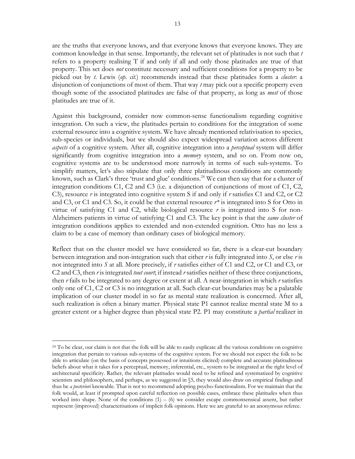are the truths that everyone knows, and that everyone knows that everyone knows. They are common knowledge in that sense. Importantly, the relevant set of platitudes is not such that *t* refers to a property realising T if and only if all and only those platitudes are true of that property. This set does *not* constitute necessary and sufficient conditions for a property to be picked out by *t*. Lewis (*op. cit*.) recommends instead that these platitudes form a *cluster*: a disjunction of conjunctions of most of them. That way *t* may pick out a specific property even though some of the associated platitudes are false of that property, as long as *most* of those platitudes are true of it.

Against this background, consider now common-sense functionalism regarding cognitive integration. On such a view, the platitudes pertain to conditions for the integration of some external resource into a cognitive system. We have already mentioned relativisation to species, sub-species or individuals, but we should also expect widespread variation across different *aspects* of a cognitive system. After all, cognitive integration into a *perceptual* system will differ significantly from cognitive integration into a *memory* system, and so on. From now on, cognitive systems are to be understood more narrowly in terms of such sub-systems. To simplify matters, let's also stipulate that only three platitudinous conditions are commonly known, such as Clark's three 'trust and glue' conditions.<sup>24</sup> We can then say that for a cluster of integration conditions C1, C2 and C3 (i.e. a disjunction of conjunctions of most of C1, C2, C3), resource *r* is integrated into cognitive system S if and only if *r* satisfies C1 and C2, or C2 and C3, or C1 and C3. So, it could be that external resource *r\** is integrated into S for Otto in virtue of satisfying C1 and C2, while biological resource  $r$  is integrated into S for non-Alzheimers patients in virtue of satisfying C1 and C3. The key point is that the *same cluster* of integration conditions applies to extended and non-extended cognition. Otto has no less a claim to be a case of memory than ordinary cases of biological memory.

Reflect that on the cluster model we have considered so far, there is a clear-cut boundary between integration and non-integration such that either *r* is fully integrated into *S*, or else *r* is not integrated into *S* at all. More precisely, if *r* satisfies either of C1 and C2, or C1 and C3, or C2 and C3, then *r* is integrated *tout court*; if instead *r* satisfies neither of these three conjunctions, then *r* fails to be integrated to any degree or extent at all. A near-integration in which *r* satisfies only one of C1, C2 or C3 is no integration at all. Such clear-cut boundaries may be a palatable implication of our cluster model in so far as mental state realization is concerned. After all, such realization is often a binary matter. Physical state P1 cannot realize mental state M to a greater extent or a higher degree than physical state P2. P1 may constitute a *partial* realizer in

<sup>&</sup>lt;sup>24</sup> To be clear, our claim is not that the folk will be able to easily explicate all the various conditions on cognitive integration that pertain to various sub-systems of the cognitive system. For we should not expect the folk to be able to articulate (on the basis of concepts possessed or intuitions elicited) complete and accurate platitudinous beliefs about what it takes for a perceptual, memory, inferential, etc., system to be integrated at the right level of architectural specificity. Rather, the relevant platitudes would need to be refined and systematized by cognitive scientists and philosophers, and perhaps, as we suggested in §5, they would also draw on empirical findings and thus be *a posteriori* knowable. That is not to recommend adopting psycho-functionalism. For we maintain that the folk would, at least if prompted upon careful reflection on possible cases, embrace these platitudes when thus worked into shape. None of the conditions  $(1) - (6)$  we consider escape commonsensical assent, but rather represent (improved) characterisations of implicit folk opinions. Here we are grateful to an anonymous referee.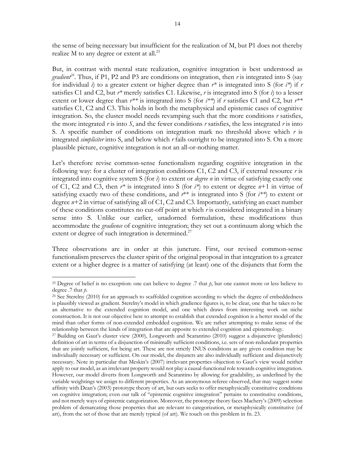the sense of being necessary but insufficient for the realization of M, but P1 does not thereby realize M to any degree or extent at all.<sup>25</sup>

But, in contrast with mental state realization, cognitive integration is best understood as *gradient*<sup>26</sup>. Thus, if P1, P2 and P3 are conditions on integration, then *r* is integrated into S (say for individual *i*) to a greater extent or higher degree than  $r^*$  is integrated into S (for  $i^*$ ) if *r* satisfies C1 and C2, but *r\** merely satisfies C1. Likewise, *r* is integrated into S (for *i*) to a lesser extent or lower degree than  $r^{**}$  is integrated into S (for  $i^{**}$ ) if *r* satisfies C1 and C2, but  $r^{**}$ satisfies C1, C2 and C3. This holds in both the metaphysical and epistemic cases of cognitive integration. So, the cluster model needs revamping such that the more conditions *r* satisfies, the more integrated *r* is into *S*, and the fewer conditions *r* satisfies, the less integrated *r* is into S. A specific number of conditions on integration mark no threshold above which *r* is integrated *simpliciter* into S, and below which *r* fails outright to be integrated into S. On a more plausible picture, cognitive integration is not an all-or-nothing matter.

Let's therefore revise common-sense functionalism regarding cognitive integration in the following way: for a cluster of integration conditions C1, C2 and C3, if external resource *r* is integrated into cognitive system S (for *i*) to extent or *degree n* in virtue of satisfying exactly one of C1, C2 and C3, then *r\** is integrated into S (for *i\**) to extent or degree *n*+1 in virtue of satisfying exactly two of these conditions, and *r*\*\* is integrated into S (for *i\*\**) to extent or degree *n*+2 in virtue of satisfying all of C1, C2 and C3. Importantly, satisfying an exact number of these conditions constitutes no cut-off point at which *r* is considered integrated in a binary sense into S. Unlike our earlier, unadorned formulation, these modifications thus accommodate the *gradience* of cognitive integration; they set out a continuum along which the extent or degree of such integration is determined.<sup>27</sup>

Three observations are in order at this juncture. First, our revised common-sense functionalism preserves the cluster spirit of the original proposal in that integration to a greater extent or a higher degree is a matter of satisfying (at least) one of the disjuncts that form the

<sup>&</sup>lt;sup>25</sup> Degree of belief is no exception: one can believe to degree  $.7$  that  $\beta$ , but one cannot more or less believe to degree .7 that *p*.

 $^{26}$  See Sterelny (2010) for an approach to scaffolded cognition according to which the degree of embeddedness is plausibly viewed as gradient. Sterelny's model in which gradience figures is, to be clear, one that he takes to be an alternative to the extended cognition model, and one which draws from interesting work on niche construction. It is not our objective here to attempt to establish that extended cognition is a better model of the mind than other forms of non-extended embedded cognition. We are rather attempting to make sense of the relationship between the kinds of integration that are apposite to extended cognition and epistemology.

<sup>27</sup> Building on Gaut's cluster view (2000), Longworth and Scarantino (2010) suggest a disjunctive (pluralistic) definition of art in terms of a disjunction of minimally sufficient conditions, i.e. sets of non-redundant properties that are jointly sufficient, for being art. These are not strictly INUS conditions as any given condition may be individually necessary or sufficient. On our model, the disjuncts are also individually sufficient and disjunctively necessary. Note in particular that Meskin's (2007) irrelevant properties objection to Gaut's view would neither apply to our model, as an irrelevant property would not play a causal-functional role towards cognitive integration. However, our model diverts from Longworth and Scarantino by allowing for gradability, as underlined by the variable weightings we assign to different properties. As an anonymous referee observed, that may suggest some affinity with Dean's (2003) prototype theory of art, but ours seeks to offer metaphysically constitutive conditions on cognitive integration; even our talk of "epistemic cognitive integration" pertains to constitutive conditions, and not merely ways of epistemic categorization. Moreover, the prototype theory faces Machery's (2009) selection problem of demarcating those properties that are relevant to categorization, or metaphysically constitutive (of art), from the set of those that are merely typical (of art). We touch on this problem in fn. 23.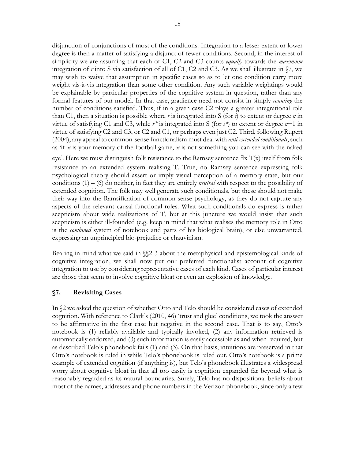disjunction of conjunctions of most of the conditions. Integration to a lesser extent or lower degree is then a matter of satisfying a disjunct of fewer conditions. Second, in the interest of simplicity we are assuming that each of C1, C2 and C3 counts *equally* towards the *maximum* integration of *r* into S via satisfaction of all of C1, C2 and C3. As we shall illustrate in §7, we may wish to waive that assumption in specific cases so as to let one condition carry more weight vis-à-vis integration than some other condition. Any such variable weightings would be explainable by particular properties of the cognitive system in question, rather than any formal features of our model. In that case, gradience need not consist in simply *counting* the number of conditions satisfied. Thus, if in a given case C2 plays a greater integrational role than C1, then a situation is possible where *r* is integrated into S (for *i*) to extent or degree *n* in virtue of satisfying C1 and C3, while *r\** is integrated into S (for *i\**) to extent or degree *n*+1 in virtue of satisfying C2 and C3, or C2 and C1, or perhaps even just C2. Third, following Rupert (2004), any appeal to common-sense functionalism must deal with *anti-extended conditionals*, such as 'if *x* is your memory of the football game, *x* is not something you can see with the naked eye'. Here we must distinguish folk resistance to the Ramsey sentence  $\exists x T(x)$  itself from folk resistance to an extended system realising T. True, no Ramsey sentence expressing folk psychological theory should assert or imply visual perception of a memory state, but our conditions (1) – (6) do neither, in fact they are entirely *neutral* with respect to the possibility of extended cognition. The folk may well generate such conditionals, but these should not make their way into the Ramsification of common-sense psychology, as they do not capture any aspects of the relevant causal-functional roles. What such conditionals do express is rather scepticism about wide realizations of T, but at this juncture we would insist that such scepticism is either ill-founded (e.g. keep in mind that what realises the memory role in Otto is the *combined* system of notebook and parts of his biological brain), or else unwarranted, expressing an unprincipled bio-prejudice or chauvinism.

Bearing in mind what we said in §§2-3 about the metaphysical and epistemological kinds of cognitive integration, we shall now put our preferred functionalist account of cognitive integration to use by considering representative cases of each kind. Cases of particular interest are those that seem to involve cognitive bloat or even an explosion of knowledge.

### **§7. Revisiting Cases**

In §2 we asked the question of whether Otto and Telo should be considered cases of extended cognition. With reference to Clark's (2010, 46) 'trust and glue' conditions, we took the answer to be affirmative in the first case but negative in the second case. That is to say, Otto's notebook is (1) reliably available and typically invoked, (2) any information retrieved is automatically endorsed, and (3) such information is easily accessible as and when required, but as described Telo's phonebook fails (1) and (3). On that basis, intuitions are preserved in that Otto's notebook is ruled in while Telo's phonebook is ruled out. Otto's notebook is a prime example of extended cognition (if anything is), but Telo's phonebook illustrates a widespread worry about cognitive bloat in that all too easily is cognition expanded far beyond what is reasonably regarded as its natural boundaries. Surely, Telo has no dispositional beliefs about most of the names, addresses and phone numbers in the Verizon phonebook, since only a few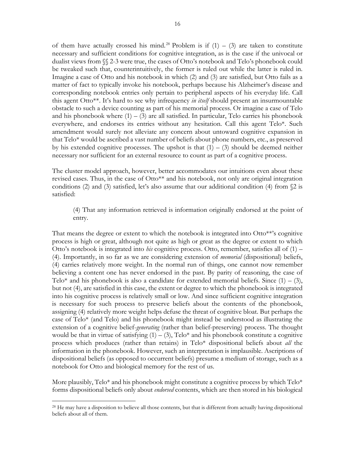of them have actually crossed his mind.<sup>28</sup> Problem is if  $(1) - (3)$  are taken to constitute necessary and sufficient conditions for cognitive integration, as is the case if the univocal or dualist views from §§ 2-3 were true, the cases of Otto's notebook and Telo's phonebook could be tweaked such that, counterintuitively, the former is ruled out while the latter is ruled in. Imagine a case of Otto and his notebook in which (2) and (3) are satisfied, but Otto fails as a matter of fact to typically invoke his notebook, perhaps because his Alzheimer's disease and corresponding notebook entries only pertain to peripheral aspects of his everyday life. Call this agent Otto\*\*. It's hard to see why infrequency *in itself* should present an insurmountable obstacle to such a device counting as part of his memorial process. Or imagine a case of Telo and his phonebook where  $(1) - (3)$  are all satisfied. In particular, Telo carries his phonebook everywhere, and endorses its entries without any hesitation. Call this agent Telo\*. Such amendment would surely not alleviate any concern about untoward cognitive expansion in that Telo\* would be ascribed a vast number of beliefs about phone numbers, etc., as preserved by his extended cognitive processes. The upshot is that  $(1) - (3)$  should be deemed neither necessary nor sufficient for an external resource to count as part of a cognitive process.

The cluster model approach, however, better accommodates our intuitions even about these revised cases. Thus, in the case of Otto\*\* and his notebook, not only are original integration conditions (2) and (3) satisfied, let's also assume that our additional condition (4) from  $\Omega$  is satisfied:

### (4) That any information retrieved is information originally endorsed at the point of entry.

That means the degree or extent to which the notebook is integrated into Otto\*\*'s cognitive process is high or great, although not quite as high or great as the degree or extent to which Otto's notebook is integrated into *his* cognitive process. Otto, remember, satisfies all of (1) – (4). Importantly, in so far as we are considering extension of *memorial* (dispositional) beliefs, (4) carries relatively more weight. In the normal run of things, one cannot now remember believing a content one has never endorsed in the past. By parity of reasoning, the case of Telo\* and his phonebook is also a candidate for extended memorial beliefs. Since  $(1) - (3)$ , but not (4), are satisfied in this case, the extent or degree to which the phonebook is integrated into his cognitive process is relatively small or low. And since sufficient cognitive integration is necessary for such process to preserve beliefs about the contents of the phonebook, assigning (4) relatively more weight helps defuse the threat of cognitive bloat. But perhaps the case of Telo\* (and Telo) and his phonebook might instead be understood as illustrating the extension of a cognitive belief-*generating* (rather than belief-preserving) process. The thought would be that in virtue of satisfying  $(1) - (3)$ , Telo\* and his phonebook constitute a cognitive process which produces (rather than retains) in Telo\* dispositional beliefs about *all* the information in the phonebook. However, such an interpretation is implausible. Ascriptions of dispositional beliefs (as opposed to occurrent beliefs) presume a medium of storage, such as a notebook for Otto and biological memory for the rest of us.

More plausibly, Telo\* and his phonebook might constitute a cognitive process by which  $\text{Telo*}$ forms dispositional beliefs only about *endorsed* contents, which are then stored in his biological

<sup>&</sup>lt;sup>28</sup> He may have a disposition to believe all those contents, but that is different from actually having dispositional beliefs about all of them.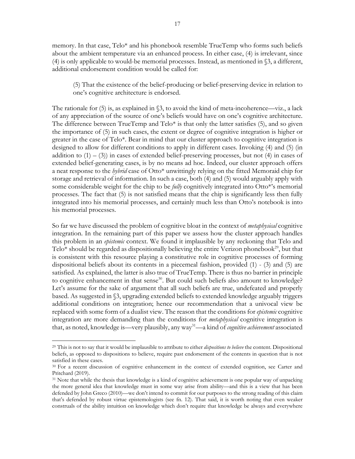memory. In that case, Telo\* and his phonebook resemble TrueTemp who forms such beliefs about the ambient temperature via an enhanced process. In either case, (4) is irrelevant, since (4) is only applicable to would-be memorial processes. Instead, as mentioned in §3, a different, additional endorsement condition would be called for:

(5) That the existence of the belief-producing or belief-preserving device in relation to one's cognitive architecture is endorsed.

The rationale for  $(5)$  is, as explained in  $\S$ 3, to avoid the kind of meta-incoherence—viz., a lack of any appreciation of the source of one's beliefs would have on one's cognitive architecture. The difference between TrueTemp and  $Telo<sup>*</sup>$  is that only the latter satisfies (5), and so given the importance of (5) in such cases, the extent or degree of cognitive integration is higher or greater in the case of Telo\*. Bear in mind that our cluster approach to cognitive integration is designed to allow for different conditions to apply in different cases. Invoking (4) and (5) (in addition to  $(1) - (3)$  in cases of extended belief-preserving processes, but not (4) in cases of extended belief-generating cases, is by no means ad hoc. Indeed, our cluster approach offers a neat response to the *hybrid* case of Otto\* unwittingly relying on the fitted Memoraid chip for storage and retrieval of information. In such a case, both (4) and (5) would arguably apply with some considerable weight for the chip to be *fully* cognitively integrated into Otto\*'s memorial processes. The fact that (5) is not satisfied means that the chip is significantly less then fully integrated into his memorial processes, and certainly much less than Otto's notebook is into his memorial processes.

So far we have discussed the problem of cognitive bloat in the context of *metaphysical* cognitive integration. In the remaining part of this paper we assess how the cluster approach handles this problem in an *epistemic* context. We found it implausible by any reckoning that Telo and Telo\* should be regarded as dispositionally believing the entire Verizon phonebook<sup>29</sup>, but that is consistent with this resource playing a constitutive role in cognitive processes of forming dispositional beliefs about its contents in a piecemeal fashion, provided (1) - (3) and (5) are satisfied. As explained, the latter is also true of TrueTemp. There is thus no barrier in principle to cognitive enhancement in that sense<sup>30</sup>. But could such beliefs also amount to knowledge? Let's assume for the sake of argument that all such beliefs are true, undefeated and properly based. As suggested in §3, upgrading extended beliefs to extended knowledge arguably triggers additional conditions on integration; hence our recommendation that a univocal view be replaced with some form of a dualist view. The reason that the conditions for *epistemic* cognitive integration are more demanding than the conditions for *metaphysical* cognitive integration is that, as noted, knowledge is—very plausibly, any way31—a kind of *cognitive achievement* associated

<sup>29</sup> This is not to say that it would be implausible to attribute to either *dispositions to believe* the content. Dispositional beliefs, as opposed to dispositions to believe, require past endorsement of the contents in question that is not satisfied in these cases.<br><sup>30</sup> For a recent discussion of cognitive enhancement in the context of extended cognition, see Carter and

Pritchard (2019).

<sup>&</sup>lt;sup>31</sup> Note that while the thesis that knowledge is a kind of cognitive achievement is one popular way of unpacking the more general idea that knowledge must in some way arise from ability—and this is a view that has been defended by John Greco (2010)—we don't intend to commit for our purposes to the strong reading of this claim that's defended by robust virtue epistemologists (see fn. 12). That said, it is worth noting that even weaker construals of the ability intuition on knowledge which don't require that knowledge be always and everywhere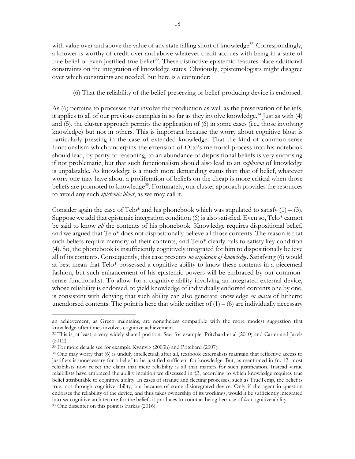with value over and above the value of any state falling short of knowledge<sup>32</sup>. Correspondingly, a knower is worthy of credit over and above whatever credit accrues with being in a state of true belief or even justified true belief<sup>33</sup>. These distinctive epistemic features place additional constraints on the integration of knowledge states. Obviously, epistemologists might disagree over which constraints are needed, but here is a contender:

(6) That the reliability of the belief-preserving or belief-producing device is endorsed.

As (6) pertains to processes that involve the production as well as the preservation of beliefs, it applies to all of our previous examples in so far as they involve knowledge.<sup>34</sup> Just as with  $(4)$ and (5), the cluster approach permits the application of (6) in some cases (i.e., those involving knowledge) but not in others. This is important because the worry about cognitive bloat is particularly pressing in the case of extended knowledge. That the kind of common-sense functionalism which underpins the extension of Otto's memorial process into his notebook should lead, by parity of reasoning, to an abundance of dispositional beliefs is very surprising if not problematic, but that such functionalism should also lead to an *explosion* of knowledge is unpalatable. As knowledge is a much more demanding status than that of belief, whatever worry one may have about a proliferation of beliefs on the cheap is more critical when those beliefs are promoted to knowledge<sup>35</sup>. Fortunately, our cluster approach provides the resources to avoid any such *epistemic bloat*, as we may call it.

Consider again the case of Telo\* and his phonebook which was stipulated to satisfy  $(1) - (3)$ . Suppose we add that epistemic integration condition (6) is also satisfied. Even so, Telo\* cannot be said to know *all* the contents of his phonebook. Knowledge requires dispositional belief, and we argued that Telo\* does not dispositionally believe all those contents. The reason is that such beliefs require memory of their contents, and Telo\* clearly fails to satisfy key condition (4). So, the phonebook is insufficiently cognitively integrated for him to dispositionally believe all of its contents. Consequently, this case presents *no explosion of knowledge*. Satisfying (6) would at best mean that Telo\* possessed a cognitive ability to know these contents in a piecemeal fashion, but such enhancement of his epistemic powers will be embraced by our commonsense functionalist. To allow for a cognitive ability involving an integrated external device, whose reliability is endorsed, to yield knowledge of individually endorsed contents one by one, is consistent with denying that such ability can also generate knowledge *en masse* of hitherto unendorsed contents. The point is here that while neither of  $(1) - (6)$  are individually necessary

an achievement, as Greco maintains, are nonetheless compatible with the more modest suggestion that knowledge oftentimes involves cognitive achievement.

<sup>&</sup>lt;sup>32</sup> This is, at least, a very widely shared position. See, for example, Pritchard et al (2010) and Carter and Jarvis (2012).

<sup>33</sup> For more details see for example Kvanvig (2003b) and Pritchard (2007).

<sup>34</sup> One may worry that (6) is unduly intellectual; after all, textbook externalists maintain that reflective access to justifiers is unnecessary for a belief to be justified sufficient for knowledge. But, as mentioned in fn. 12, most reliabilists now reject the claim that mere reliability is all that matters for such justification. Instead virtue relaibilists have embraced the ability intuition we discussed in §3, according to which knowledge requires true belief attributable to cognitive ability. In cases of strange and fleeting processes, such as TrueTemp, the belief is true, not through cognitive ability, but because of some disintegrated device. Only if the agent in question endorses the reliability of the device, and thus takes ownership of its workings, would it be sufficiently integrated into *her* cognitive architecture for the beliefs it produces to count as being because of *her* cognitive ability. 35 One dissenter on this point is Farkas (2016).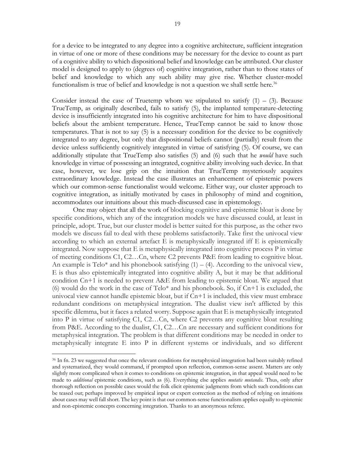for a device to be integrated to any degree into a cognitive architecture, sufficient integration in virtue of one or more of these conditions may be necessary for the device to count as part of a cognitive ability to which dispositional belief and knowledge can be attributed. Our cluster model is designed to apply to (degrees of) cognitive integration, rather than to those states of belief and knowledge to which any such ability may give rise. Whether cluster-model functionalism is true of belief and knowledge is not a question we shall settle here.<sup>36</sup>

Consider instead the case of Truetemp whom we stipulated to satisfy  $(1) - (3)$ . Because TrueTemp, as originally described, fails to satisfy (5), the implanted temperature-detecting device is insufficiently integrated into his cognitive architecture for him to have dispositional beliefs about the ambient temperature. Hence, TrueTemp cannot be said to know those temperatures. That is not to say (5) is a necessary condition for the device to be cognitively integrated to any degree, but only that dispositional beliefs cannot (partially) result from the device unless sufficiently cognitively integrated in virtue of satisfying (5). Of course, we can additionally stipulate that TrueTemp also satisfies (5) and (6) such that he *would* have such knowledge in virtue of possessing an integrated, cognitive ability involving such device. In that case, however, we lose grip on the intuition that TrueTemp mysteriously acquires extraordinary knowledge. Instead the case illustrates an enhancement of epistemic powers which our common-sense functionalist would welcome. Either way, our cluster approach to cognitive integration, as initially motivated by cases in philosophy of mind and cognition, accommodates our intuitions about this much-discussed case in epistemology.

One may object that all the work of blocking cognitive and epistemic bloat is done by specific conditions, which any of the integration models we have discussed could, at least in principle, adopt. True, but our cluster model is better suited for this purpose, as the other two models we discuss fail to deal with these problems satisfactorily. Take first the univocal view according to which an external artefact E is metaphysically integrated iff E is epistemically integrated. Now suppose that E is metaphysically integrated into cognitive process P in virtue of meeting conditions C1, C2…Cn, where C2 prevents P&E from leading to cognitive bloat. An example is Telo\* and his phonebook satisfying  $(1) - (4)$ . According to the univocal view, E is thus also epistemically integrated into cognitive ability A, but it may be that additional condition Cn+1 is needed to prevent A&E from leading to epistemic bloat. We argued that (6) would do the work in the case of  $Telo^*$  and his phonebook. So, if  $Cn+1$  is excluded, the univocal view cannot handle epistemic bloat, but if Cn+1 is included, this view must embrace redundant conditions on metaphysical integration. The dualist view isn't afflicted by this specific dilemma, but it faces a related worry. Suppose again that E is metaphysically integrated into P in virtue of satisfying C1, C2…Cn, where C2 prevents any cognitive bloat resulting from P&E. According to the dualist, C1, C2…Cn are necessary and sufficient conditions for metaphysical integration. The problem is that different conditions may be needed in order to metaphysically integrate E into P in different systems or individuals, and so different

<sup>36</sup> In fn. 23 we suggested that once the relevant conditions for metaphysical integration had been suitably refined and systematized, they would command, if prompted upon reflection, common-sense assent. Matters are only slightly more complicated when it comes to conditions on epistemic integration, in that appeal would need to be made to *additional* epistemic conditions, such as (6). Everything else applies *mutatis mutandis*. Thus, only after thorough reflection on possible cases would the folk elicit epistemic judgments from which such conditions can be teased out; perhaps improved by empirical input or expert correction as the method of relying on intuitions about cases may well fall short. The key point is that our common-sense functionalism applies equally to epistemic and non-epistemic concepts concerning integration. Thanks to an anonymous referee.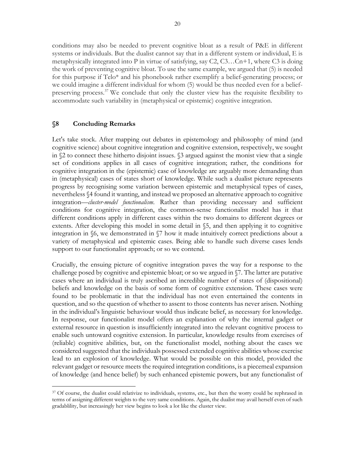conditions may also be needed to prevent cognitive bloat as a result of P&E in different systems or individuals. But the dualist cannot say that in a different system or individual, E is metaphysically integrated into P in virtue of satisfying, say  $C_2$ ,  $C_3$ ... $C_n+1$ , where  $C_3$  is doing the work of preventing cognitive bloat. To use the same example, we argued that (5) is needed for this purpose if Telo\* and his phonebook rather exemplify a belief-generating process; or we could imagine a different individual for whom (5) would be thus needed even for a beliefpreserving process.<sup>37</sup> We conclude that only the cluster view has the requisite flexibility to accommodate such variability in (metaphysical or epistemic) cognitive integration.

#### **§8 Concluding Remarks**

 $\overline{a}$ 

Let's take stock. After mapping out debates in epistemology and philosophy of mind (and cognitive science) about cognitive integration and cognitive extension, respectively, we sought in §2 to connect these hitherto disjoint issues. §3 argued against the monist view that a single set of conditions applies in all cases of cognitive integration; rather, the conditions for cognitive integration in the (epistemic) case of knowledge are arguably more demanding than in (metaphysical) cases of states short of knowledge. While such a dualist picture represents progress by recognising some variation between epistemic and metaphysical types of cases, nevertheless §4 found it wanting, and instead we proposed an alternative approach to cognitive integration—*cluster-model functionalism*. Rather than providing necessary and sufficient conditions for cognitive integration, the common-sense functionalist model has it that different conditions apply in different cases within the two domains to different degrees or extents. After developing this model in some detail in §5, and then applying it to cognitive integration in §6, we demonstrated in §7 how it made intuitively correct predictions about a variety of metaphysical and epistemic cases. Being able to handle such diverse cases lends support to our functionalist approach; or so we contend.

Crucially, the ensuing picture of cognitive integration paves the way for a response to the challenge posed by cognitive and epistemic bloat; or so we argued in §7. The latter are putative cases where an individual is truly ascribed an incredible number of states of (dispositional) beliefs and knowledge on the basis of some form of cognitive extension. These cases were found to be problematic in that the individual has not even entertained the contents in question, and so the question of whether to assent to those contents has never arisen. Nothing in the individual's linguistic behaviour would thus indicate belief, as necessary for knowledge. In response, our functionalist model offers an explanation of why the internal gadget or external resource in question is insufficiently integrated into the relevant cognitive process to enable such untoward cognitive extension. In particular, knowledge results from exercises of (reliable) cognitive abilities, but, on the functionalist model, nothing about the cases we considered suggested that the individuals possessed extended cognitive abilities whose exercise lead to an explosion of knowledge. What would be possible on this model, provided the relevant gadget or resource meets the required integration conditions, is a piecemeal expansion of knowledge (and hence belief) by such enhanced epistemic powers, but any functionalist of

<sup>37</sup> Of course, the dualist could relativize to individuals, systems, etc., but then the worry could be rephrased in terms of assigning different weights to the very same conditions. Again, the dualist may avail herself even of such gradablility, but increasingly her view begins to look a lot like the cluster view.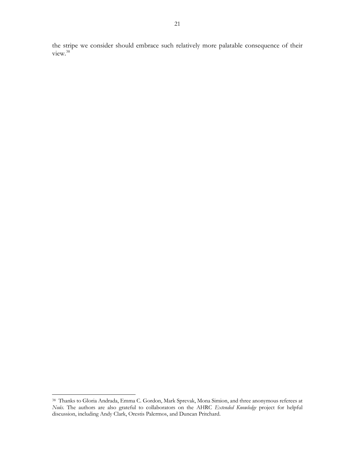the stripe we consider should embrace such relatively more palatable consequence of their view.<sup>38</sup>

<sup>38</sup> Thanks to Gloria Andrada, Emma C. Gordon, Mark Sprevak, Mona Simion, and three anonymous referees at *Noûs*. The authors are also grateful to collaborators on the AHRC *Extended Knowledge* project for helpful discussion, including Andy Clark, Orestis Palermos, and Duncan Pritchard.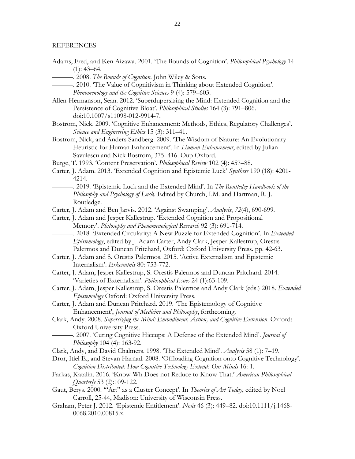#### REFERENCES

- Adams, Fred, and Ken Aizawa. 2001. 'The Bounds of Cognition'. *Philosophical Psychology* 14  $(1): 43-64.$
- ———. 2008. *The Bounds of Cognition*. John Wiley & Sons.
	- ———. 2010. 'The Value of Cognitivism in Thinking about Extended Cognition'. *Phenomenology and the Cognitive Sciences* 9 (4): 579–603.
- Allen-Hermanson, Sean. 2012. 'Superdupersizing the Mind: Extended Cognition and the Persistence of Cognitive Bloat'. *Philosophical Studies* 164 (3): 791–806. doi:10.1007/s11098-012-9914-7.
- Bostrom, Nick. 2009. 'Cognitive Enhancement: Methods, Ethics, Regulatory Challenges'. *Science and Engineering Ethics* 15 (3): 311–41.
- Bostrom, Nick, and Anders Sandberg. 2009. 'The Wisdom of Nature: An Evolutionary Heuristic for Human Enhancement'. In *Human Enhancement*, edited by Julian Savulescu and Nick Bostrom, 375–416. Oup Oxford.
- Burge, T. 1993. 'Content Preservation'. *Philosophical Review* 102 (4): 457–88.
- Carter, J. Adam. 2013. 'Extended Cognition and Epistemic Luck' *Synthese* 190 (18): 4201- 4214.
- ———. 2019. 'Epistemic Luck and the Extended Mind'. In *The Routledge Handbook of the Philosophy and Psychology of Luck*. Edited by Church, I.M. and Hartman, R. J. Routledge.
- Carter, J. Adam and Ben Jarvis. 2012. 'Against Swamping'. *Analysis*, *72*(4), 690-699.
- Carter, J. Adam and Jesper Kallestrup. 'Extended Cognition and Propositional Memory'. *Philosophy and Phenomenological Research* 92 (3): 691-714.
	- ———. 2018. 'Extended Circularity: A New Puzzle for Extended Cognition'. In *Extended Epistemology*, edited by J. Adam Carter, Andy Clark, Jesper Kallestrup, Orestis Palermos and Duncan Pritchard, Oxford: Oxford University Press. pp. 42-63.
- Carter, J. Adam and S. Orestis Palermos. 2015. 'Active Externalism and Epistemic Internalism'. *Erkenntnis* 80: 753-772.
- Carter, J. Adam, Jesper Kallestrup, S. Orestis Palermos and Duncan Pritchard. 2014. 'Varieties of Externalism'. *Philosophical Issues* 24 (1):63-109.
- Carter, J. Adam, Jesper Kallestrup, S. Orestis Palermos and Andy Clark (eds.) 2018. *Extended Epistemology* Oxford: Oxford University Press.
- Carter, J. Adam and Duncan Pritchard. 2019. 'The Epistemology of Cognitive Enhancement', *Journal of Medicine and Philosophy*, forthcoming.
- Clark, Andy. 2008. *Supersizing the Mind: Embodiment, Action, and Cognitive Extension*. Oxford: Oxford University Press.
- ———. 2007. 'Curing Cognitive Hiccups: A Defense of the Extended Mind'. *Journal of Philosophy* 104 (4): 163-92.
- Clark, Andy, and David Chalmers. 1998. 'The Extended Mind'. *Analysis* 58 (1): 7–19.
- Dror, Itiel E., and Stevan Harnad. 2008. 'Offloading Cognition onto Cognitive Technology'. *Cognition Distributed: How Cognitive Technology Extends Our Minds* 16: 1.
- Farkas, Katalin. 2016. 'Know-Wh Does not Reduce to Know That.' *American Philosophical Quarterly* 53 (2):109-122.
- Gaut, Berys. 2000. '"Art" as a Cluster Concept'. In *Theories of Art Today*, edited by Noel Carroll, 25-44, Madison: University of Wisconsin Press.
- Graham, Peter J. 2012. 'Epistemic Entitlement'. *Noûs* 46 (3): 449–82. doi:10.1111/j.1468- 0068.2010.00815.x.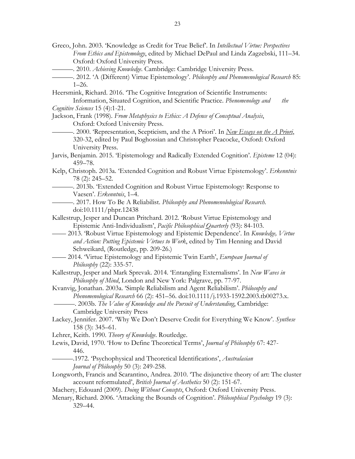- Greco, John. 2003. 'Knowledge as Credit for True Belief'. In *Intellectual Virtue: Perspectives From Ethics and Epistemology*, edited by Michael DePaul and Linda Zagzebski, 111–34. Oxford: Oxford University Press.
- ———. 2010. *Achieving Knowledge*. Cambridge: Cambridge University Press.
- ———. 2012. 'A (Different) Virtue Epistemology'. *Philosophy and Phenomenological Research* 85: 1–26.
- Heersmink, Richard. 2016. 'The Cognitive Integration of Scientific Instruments: Information, Situated Cognition, and Scientific Practice. *Phenomenology and the*
- *Cognitive Sciences* 15 (4):1-21.
- Jackson, Frank (1998). *From Metaphysics to Ethics: A Defence of Conceptual Analysis*, Oxford: Oxford University Press.
	- ———. 2000. 'Representation, Scepticism, and the A Priori'. In *New Essays on the A Priori*, 320-32, edited by Paul Boghossian and Christopher Peacocke, Oxford: Oxford University Press.
- Jarvis, Benjamin. 2015. 'Epistemology and Radically Extended Cognition'. *Episteme* 12 (04): 459–78.
- Kelp, Christoph. 2013a. 'Extended Cognition and Robust Virtue Epistemology'. *Erkenntnis* 78 (2): 245–52.
	- ———. 2013b. 'Extended Cognition and Robust Virtue Epistemology: Response to Vaesen'. *Erkenntnis*, 1–4.
	- ———. 2017. How To Be A Reliabilist. *Philosophy and Phenomenolological Research.* doi:10.1111/phpr.12438
- Kallestrup, Jesper and Duncan Pritchard. 2012. 'Robust Virtue Epistemology and Epistemic Anti-Individualism', *Pacific Philosophical Quarterly* (93): 84-103.
- —— 2013. 'Robust Virtue Epistemology and Epistemic Dependence'. In *Knowledge, Virtue and Action: Putting Epistemic Virtues to Work*, edited by Tim Henning and David Schweikard, (Routledge, pp. 209-26.)
	- —— 2014. 'Virtue Epistemology and Epistemic Twin Earth', *European Journal of Philosophy* (22): 335-57.
- Kallestrup, Jesper and Mark Sprevak. 2014. 'Entangling Externalisms'. In *New Waves in Philosophy of Mind*, London and New York: Palgrave, pp. 77-97.
- Kvanvig, Jonathan. 2003a. 'Simple Reliabilism and Agent Reliabilism'. *Philosophy and Phenomenological Research* 66 (2): 451–56. doi:10.1111/j.1933-1592.2003.tb00273.x.

———. 2003b. *The Value of Knowledge and the Pursuit of Understanding*, Cambridge: Cambridge University Press

- Lackey, Jennifer. 2007. 'Why We Don't Deserve Credit for Everything We Know'. *Synthese* 158 (3): 345–61.
- Lehrer, Keith. 1990. *Theory of Knowledge*. Routledge.
- Lewis, David, 1970. 'How to Define Theoretical Terms', *Journal of Philosophy* 67: 427- 446.
	- ———.1972. 'Psychophysical and Theoretical Identifications', *Australasian Journal of Philosophy* 50 (3): 249-258.
- Longworth, Francis and Scarantino, Andrea. 2010. 'The disjunctive theory of art: The cluster account reformulated', *British Journal of Aesthetics* 50 (2): 151-67.
- Machery, Edouard (2009). *Doing Without Concepts*, Oxford: Oxford University Press.
- Menary, Richard. 2006. 'Attacking the Bounds of Cognition'. *Philosophical Psychology* 19 (3): 329–44.